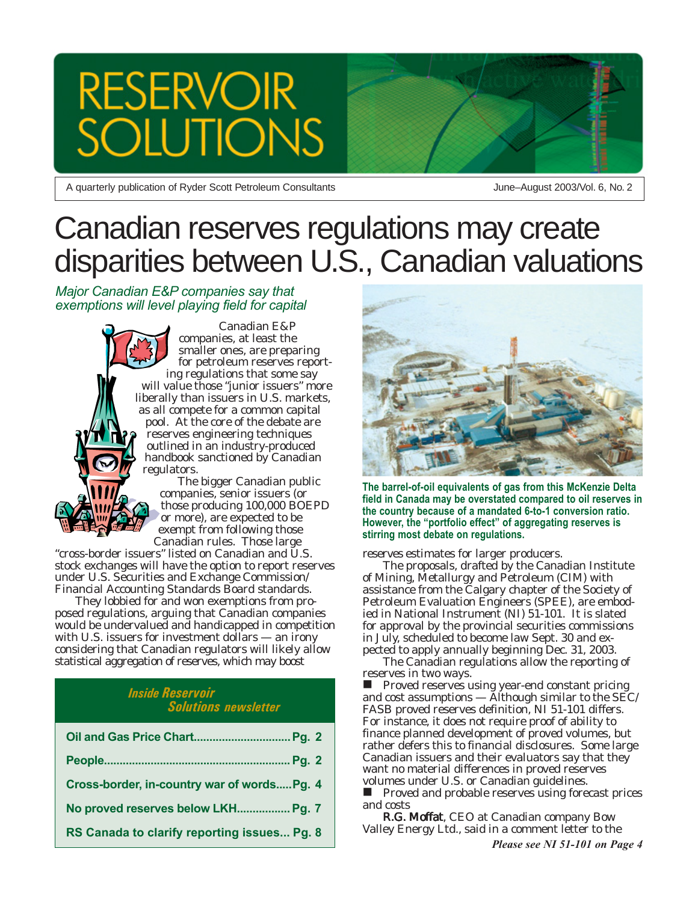# **RESERVOIR JTIONS**

A quarterly publication of Ryder Scott Petroleum Consultants

June–August 2003/Vol. 6, No. 2

## Canadian reserves regulations may create disparities between U.S., Canadian valuations

*Major Canadian E&P companies say that exemptions will level playing field for capital*

> Canadian E&P companies, at least the smaller ones, are preparing for petroleum reserves reporting regulations that some say will value those "junior issuers" more liberally than issuers in U.S. markets, as all compete for a common capital pool. At the core of the debate are reserves engineering techniques outlined in an industry-produced handbook sanctioned by Canadian regulators.

The bigger Canadian public companies, senior issuers (or those producing 100,000 BOEPD or more), are expected to be exempt from following those Canadian rules. Those large

"cross-border issuers" listed on Canadian and U.S. stock exchanges will have the option to report reserves under U.S. Securities and Exchange Commission/ Financial Accounting Standards Board standards.

They lobbied for and won exemptions from proposed regulations, arguing that Canadian companies would be undervalued and handicapped in competition with U.S. issuers for investment dollars — an irony considering that Canadian regulators will likely allow statistical aggregation of reserves, which may boost

## *Inside Reservoir Solutions newsletter*

| Cross-border, in-country war of wordsPg. 4  |
|---------------------------------------------|
| No proved reserves below LKH Pg. 7          |
| RS Canada to clarify reporting issues Pg. 8 |



**The barrel-of-oil equivalents of gas from this McKenzie Delta field in Canada may be overstated compared to oil reserves in the country because of a mandated 6-to-1 conversion ratio. However, the "portfolio effect" of aggregating reserves is stirring most debate on regulations.**

reserves estimates for larger producers.

The proposals, drafted by the Canadian Institute of Mining, Metallurgy and Petroleum (CIM) with assistance from the Calgary chapter of the Society of Petroleum Evaluation Engineers (SPEE), are embodied in National Instrument (NI) 51-101. It is slated for approval by the provincial securities commissions in July, scheduled to become law Sept. 30 and expected to apply annually beginning Dec. 31, 2003.

The Canadian regulations allow the reporting of reserves in two ways.

 $\blacksquare$  Proved reserves using year-end constant pricing and cost assumptions — Although similar to the SEC/ FASB proved reserves definition, NI 51-101 differs. For instance, it does not require proof of ability to finance planned development of proved volumes, but rather defers this to financial disclosures. Some large Canadian issuers and their evaluators say that they want no material differences in proved reserves volumes under U.S. or Canadian guidelines. **Proved and probable reserves using forecast prices** 

and costs R.G. Moffat, CEO at Canadian company Bow Valley Energy Ltd., said in a comment letter to the

*Please see NI 51-101 on Page 4*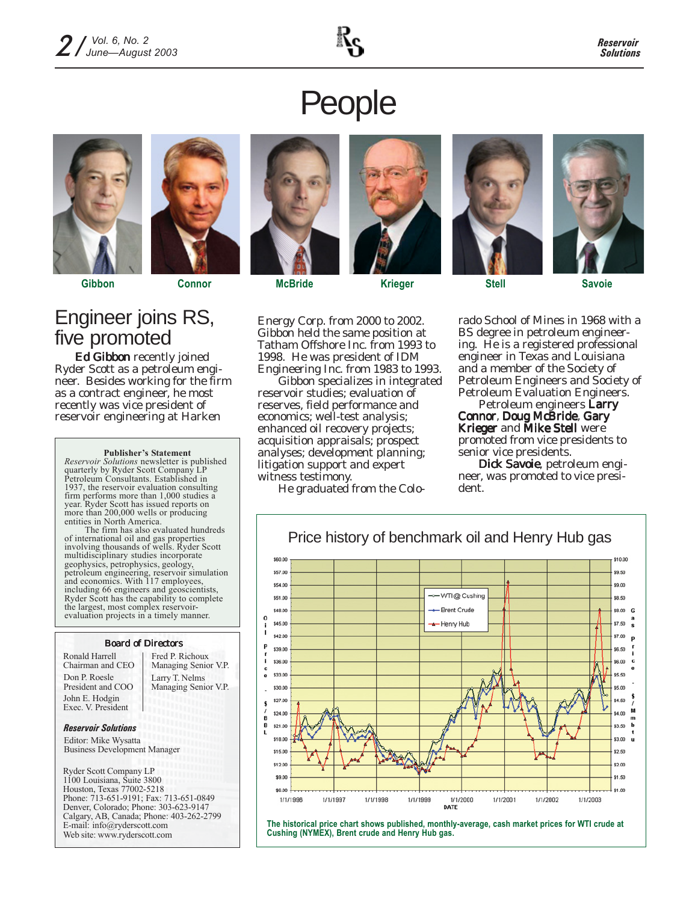### *Reservoir Solutions*

# People



## Engineer joins RS, five promoted

Ed Gibbon recently joined Ryder Scott as a petroleum engineer. Besides working for the firm as a contract engineer, he most recently was vice president of reservoir engineering at Harken

### **Publisher's Statement**

*Reservoir Solutions* newsletter is published quarterly by Ryder Scott Company LP Petroleum Consultants. Established in 1937, the reservoir evaluation consulting firm performs more than 1,000 studies a year. Ryder Scott has issued reports on more than 200,000 wells or producing entities in North America.

The firm has also evaluated hundreds of international oil and gas properties involving thousands of wells. Ryder Scott multidisciplinary studies incorporate geophysics, petrophysics, geology, petroleum engineering, reservoir simulation and economics. With 117 employees, including 66 engineers and geoscientists, Ryder Scott has the capability to complete the largest, most complex reservoirevaluation projects in a timely manner.

### Board of Directors

Ronald Harrell Chairman and CEO Don P. Roesle President and COO John E. Hodgin Exec. V. President

Larry T. Nelms Managing Senior V.P. Fred P. Richoux Managing Senior V.P.

### *Reservoir Solutions*

Editor: Mike Wysatta Business Development Manager

Ryder Scott Company LP 1100 Louisiana, Suite 3800 Houston, Texas 77002-5218 Phone: 713-651-9191; Fax: 713-651-0849 Denver, Colorado; Phone: 303-623-9147 Calgary, AB, Canada; Phone: 403-262-2799 E-mail: info@ryderscott.com Web site: www.ryderscott.com



**Gibbon Connor McBride Krieger Stell Savoie**



Energy Corp. from 2000 to 2002. Gibbon held the same position at Tatham Offshore Inc. from 1993 to 1998. He was president of IDM Engineering Inc. from 1983 to 1993.

Gibbon specializes in integrated reservoir studies; evaluation of reserves, field performance and economics; well-test analysis; enhanced oil recovery projects; acquisition appraisals; prospect analyses; development planning; litigation support and expert witness testimony.

He graduated from the Colo-



rado School of Mines in 1968 with a BS degree in petroleum engineering. He is a registered professional engineer in Texas and Louisiana and a member of the Society of Petroleum Engineers and Society of Petroleum Evaluation Engineers.

Petroleum engineers Larry Connor, Doug McBride, Gary Krieger and Mike Stell were promoted from vice presidents to senior vice presidents.

Dick Savoie, petroleum engineer, was promoted to vice president.



**The historical price chart shows published, monthly-average, cash market prices for WTI crude at Cushing (NYMEX), Brent crude and Henry Hub gas.**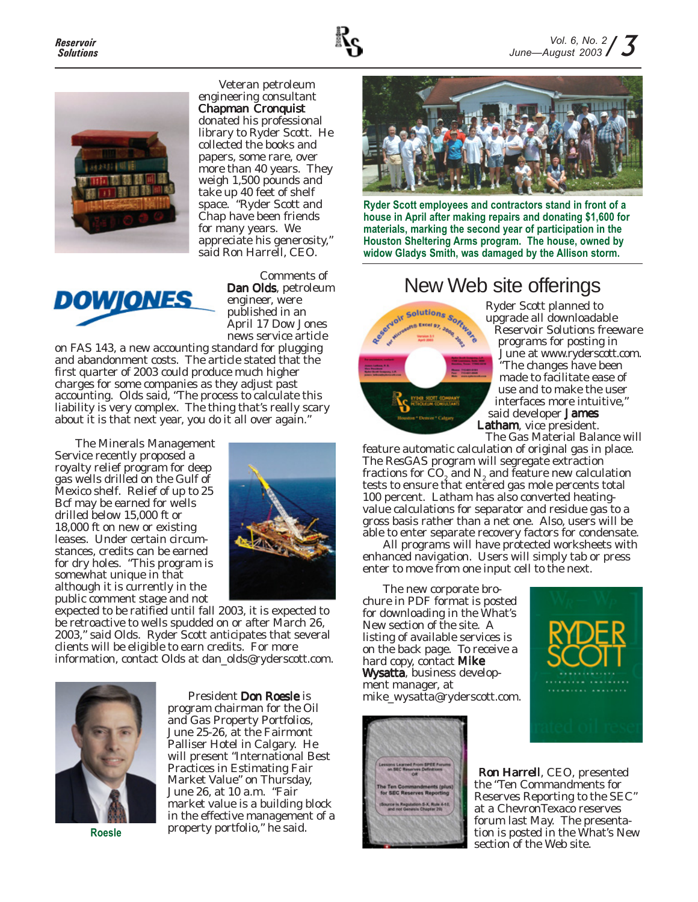



Veteran petroleum engineering consultant Chapman Cronquist donated his professional library to Ryder Scott. He collected the books and papers, some rare, over more than 40 years. They weigh 1,500 pounds and take up 40 feet of shelf space. "Ryder Scott and Chap have been friends for many years. We appreciate his generosity," said Ron Harrell, CEO.



Comments of Dan Olds, petroleum engineer, were published in an April 17 Dow Jones news service article

on FAS 143, a new accounting standard for plugging and abandonment costs. The article stated that the first quarter of 2003 could produce much higher charges for some companies as they adjust past accounting. Olds said, "The process to calculate this liability is very complex. The thing that's really scary about it is that next year, you do it all over again."

The Minerals Management Service recently proposed a royalty relief program for deep gas wells drilled on the Gulf of Mexico shelf. Relief of up to 25 Bcf may be earned for wells drilled below 15,000 ft or 18,000 ft on new or existing leases. Under certain circumstances, credits can be earned for dry holes. "This program is somewhat unique in that although it is currently in the public comment stage and not



expected to be ratified until fall 2003, it is expected to be retroactive to wells spudded on or after March 26, 2003," said Olds. Ryder Scott anticipates that several clients will be eligible to earn credits. For more information, contact Olds at dan\_olds@ryderscott.com.



President Don Roesle is program chairman for the Oil and Gas Property Portfolios, June 25-26, at the Fairmont Palliser Hotel in Calgary. He will present "International Best Practices in Estimating Fair Market Value" on Thursday, June 26, at 10 a.m. "Fair market value is a building block in the effective management of a property portfolio," he said. **Roesle**



**Ryder Scott employees and contractors stand in front of a house in April after making repairs and donating \$1,600 for materials, marking the second year of participation in the Houston Sheltering Arms program. The house, owned by widow Gladys Smith, was damaged by the Allison storm.**



Ryder Scott planned to upgrade all downloadable Reservoir Solutions freeware programs for posting in June at www.ryderscott.com. "The changes have been made to facilitate ease of use and to make the user interfaces more intuitive," said developer James Latham, vice president. New Web site offerings<br>
Ryder Scott planned to<br>
upgrade all downloada<br>
Reservoir Solutions for anting

The Gas Material Balance will feature automatic calculation of original gas in place. The ResGAS program will segregate extraction fractions for CO<sub>2</sub> and N<sub>2</sub> and feature new calculation tests to ensure that entered gas mole percents total 100 percent. Latham has also converted heatingvalue calculations for separator and residue gas to a gross basis rather than a net one. Also, users will be able to enter separate recovery factors for condensate.

All programs will have protected worksheets with enhanced navigation. Users will simply tab or press enter to move from one input cell to the next.

The new corporate brochure in PDF format is posted for downloading in the What's New section of the site. A listing of available services is on the back page. To receive a hard copy, contact **Mike Wysatta**, business development manager, at mike\_wysatta@ryderscott.com.





Ron Harrell, CEO, presented the "Ten Commandments for Reserves Reporting to the SEC" at a ChevronTexaco reserves forum last May. The presentation is posted in the What's New section of the Web site.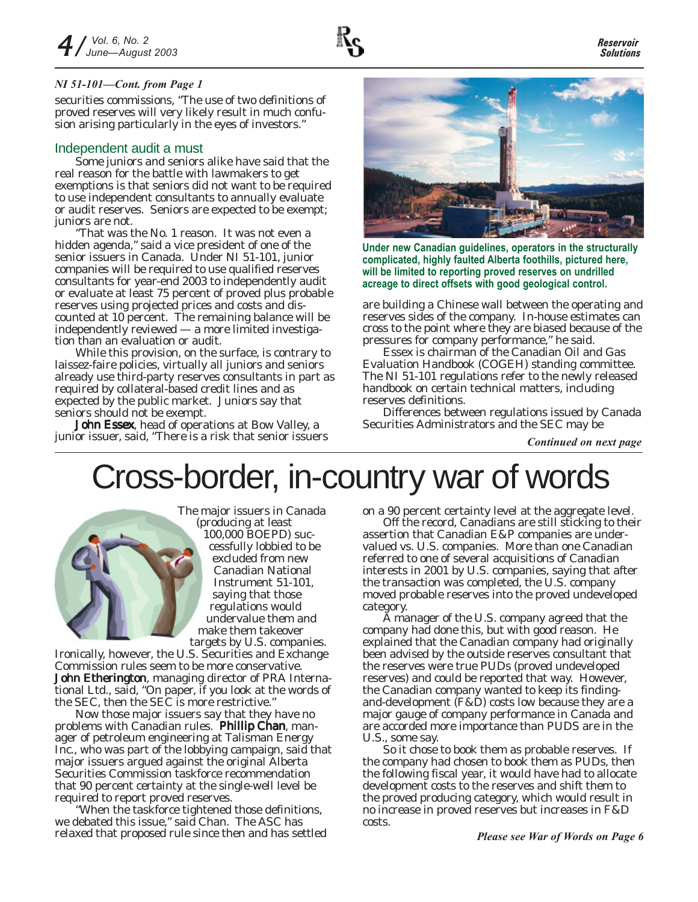## *NI 51-101—Cont. from Page 1*

securities commissions, "The use of two definitions of proved reserves will very likely result in much confusion arising particularly in the eyes of investors."

## Independent audit a must

Some juniors and seniors alike have said that the real reason for the battle with lawmakers to get exemptions is that seniors did not want to be required to use independent consultants to annually evaluate or audit reserves. Seniors are expected to be exempt; juniors are not.

"That was the No. 1 reason. It was not even a hidden agenda," said a vice president of one of the senior issuers in Canada. Under NI 51-101, junior companies will be required to use qualified reserves consultants for year-end 2003 to independently audit or evaluate at least 75 percent of proved plus probable reserves using projected prices and costs and discounted at 10 percent. The remaining balance will be independently reviewed — a more limited investigation than an evaluation or audit.

While this provision, on the surface, is contrary to laissez-faire policies, virtually all juniors and seniors already use third-party reserves consultants in part as required by collateral-based credit lines and as expected by the public market. Juniors say that seniors should not be exempt.

John Essex, head of operations at Bow Valley, a junior issuer, said, "There is a risk that senior issuers



**Under new Canadian guidelines, operators in the structurally complicated, highly faulted Alberta foothills, pictured here, will be limited to reporting proved reserves on undrilled acreage to direct offsets with good geological control.**

are building a Chinese wall between the operating and reserves sides of the company. In-house estimates can cross to the point where they are biased because of the pressures for company performance," he said.

Essex is chairman of the Canadian Oil and Gas Evaluation Handbook (COGEH) standing committee. The NI 51-101 regulations refer to the newly released handbook on certain technical matters, including reserves definitions.

Differences between regulations issued by Canada Securities Administrators and the SEC may be

*Continued on next page*

## Cross-border, in-country war of words

The major issuers in Canada (producing at least 100,000 BOEPD) successfully lobbied to be excluded from new Canadian National Instrument 51-101, saying that those regulations would undervalue them and make them takeover targets by U.S. companies.

Ironically, however, the U.S. Securities and Exchange Commission rules seem to be more conservative. **John Etherington**, managing director of PRA International Ltd., said, "On paper, if you look at the words of the SEC, then the SEC is more restrictive."

Now those major issuers say that they have no problems with Canadian rules. Phillip Chan, manager of petroleum engineering at Talisman Energy Inc., who was part of the lobbying campaign, said that major issuers argued against the original Alberta Securities Commission taskforce recommendation that 90 percent certainty at the single-well level be required to report proved reserves.

"When the taskforce tightened those definitions, we debated this issue," said Chan. The ASC has relaxed that proposed rule since then and has settled on a 90 percent certainty level at the aggregate level.

Off the record, Canadians are still sticking to their assertion that Canadian E&P companies are undervalued vs. U.S. companies. More than one Canadian referred to one of several acquisitions of Canadian interests in 2001 by U.S. companies, saying that after the transaction was completed, the U.S. company moved probable reserves into the proved undeveloped category.

A manager of the U.S. company agreed that the company had done this, but with good reason. He explained that the Canadian company had originally been advised by the outside reserves consultant that the reserves were true PUDs (proved undeveloped reserves) and could be reported that way. However, the Canadian company wanted to keep its findingand-development (F&D) costs low because they are a major gauge of company performance in Canada and are accorded more importance than PUDS are in the U.S., some say.

So it chose to book them as probable reserves. If the company had chosen to book them as PUDs, then the following fiscal year, it would have had to allocate development costs to the reserves and shift them to the proved producing category, which would result in no increase in proved reserves but increases in F&D costs.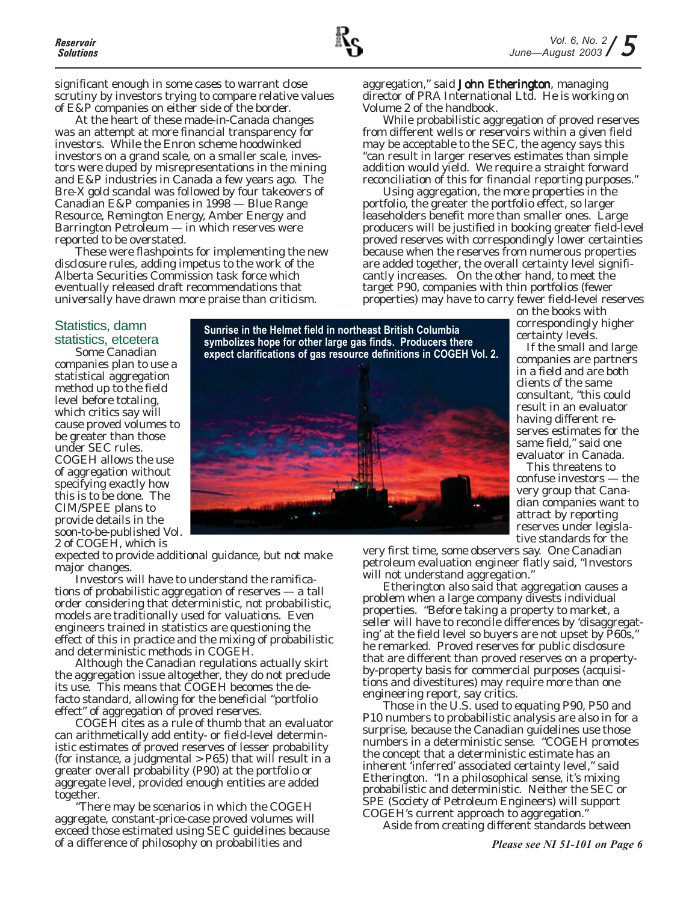significant enough in some cases to warrant close scrutiny by investors trying to compare relative values of E&P companies on either side of the border.

At the heart of these made-in-Canada changes was an attempt at more financial transparency for investors. While the Enron scheme hoodwinked investors on a grand scale, on a smaller scale, investors were duped by misrepresentations in the mining and E&P industries in Canada a few years ago. The Bre-X gold scandal was followed by four takeovers of Canadian E&P companies in 1998 — Blue Range Resource, Remington Energy, Amber Energy and Barrington Petroleum — in which reserves were reported to be overstated.

These were flashpoints for implementing the new disclosure rules, adding impetus to the work of the Alberta Securities Commission task force which eventually released draft recommendations that universally have drawn more praise than criticism.

aggregation," said John Etherington, managing director of PRA International Ltd. He is working on Volume 2 of the handbook.

While probabilistic aggregation of proved reserves from different wells or reservoirs within a given field may be acceptable to the SEC, the agency says this "can result in larger reserves estimates than simple addition would yield. We require a straight forward reconciliation of this for financial reporting purposes."

Using aggregation, the more properties in the portfolio, the greater the portfolio effect, so larger leaseholders benefit more than smaller ones. Large producers will be justified in booking greater field-level proved reserves with correspondingly lower certainties because when the reserves from numerous properties are added together, the overall certainty level significantly increases. On the other hand, to meet the target P90, companies with thin portfolios (fewer properties) may have to carry fewer field-level reserves on the books with

Statistics, damn statistics, etcetera

Some Canadian companies plan to use a statistical aggregation method up to the field level before totaling, which critics say will cause proved volumes to be greater than those under SEC rules. COGEH allows the use of aggregation without specifying exactly how this is to be done. The CIM/SPEE plans to provide details in the soon-to-be-published Vol. 2 of COGEH, which is

**Sunrise in the Helmet field in northeast British Columbia symbolizes hope for other large gas finds. Producers there expect clarifications of gas resource definitions in COGEH Vol. 2.**



expected to provide additional guidance, but not make major changes.

Investors will have to understand the ramifications of probabilistic aggregation of reserves — a tall order considering that deterministic, not probabilistic, models are traditionally used for valuations. Even engineers trained in statistics are questioning the effect of this in practice and the mixing of probabilistic and deterministic methods in COGEH.

Although the Canadian regulations actually skirt the aggregation issue altogether, they do not preclude its use. This means that COGEH becomes the defacto standard, allowing for the beneficial "portfolio effect" of aggregation of proved reserves.

COGEH cites as a rule of thumb that an evaluator can arithmetically add entity- or field-level deterministic estimates of proved reserves of lesser probability (for instance, a judgmental > P65) that will result in a greater overall probability (P90) at the portfolio or aggregate level, provided enough entities are added together.

"There may be scenarios in which the COGEH aggregate, constant-price-case proved volumes will exceed those estimated using SEC guidelines because of a difference of philosophy on probabilities and

very first time, some observers say. One Canadian petroleum evaluation engineer flatly said, "Investors will not understand aggregation."

Etherington also said that aggregation causes a problem when a large company divests individual properties. "Before taking a property to market, a seller will have to reconcile differences by 'disaggregating' at the field level so buyers are not upset by P60s," he remarked. Proved reserves for public disclosure that are different than proved reserves on a propertyby-property basis for commercial purposes (acquisitions and divestitures) may require more than one engineering report, say critics.

Those in the U.S. used to equating P90, P50 and P10 numbers to probabilistic analysis are also in for a surprise, because the Canadian guidelines use those numbers in a deterministic sense. "COGEH promotes the concept that a deterministic estimate has an inherent 'inferred' associated certainty level," said Etherington. "In a philosophical sense, it's mixing probabilistic and deterministic. Neither the SEC or SPE (Society of Petroleum Engineers) will support COGEH's current approach to aggregation."

Aside from creating different standards between

correspondingly higher certainty levels.

If the small and large companies are partners in a field and are both clients of the same consultant, "this could result in an evaluator having different reserves estimates for the same field," said one evaluator in Canada. This threatens to confuse investors — the very group that Canadian companies want to attract by reporting reserves under legislative standards for the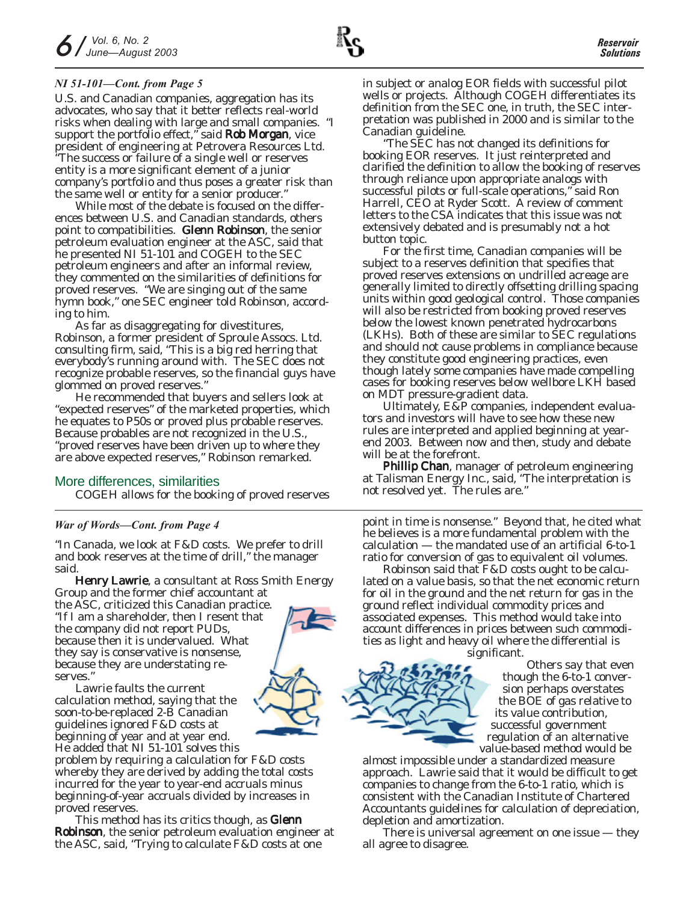U.S. and Canadian companies, aggregation has its advocates, who say that it better reflects real-world risks when dealing with large and small companies. "I support the portfolio effect," said **Rob Morgan**, vice president of engineering at Petrovera Resources Ltd. "The success or failure of a single well or reserves entity is a more significant element of a junior company's portfolio and thus poses a greater risk than the same well or entity for a senior producer."

While most of the debate is focused on the differences between U.S. and Canadian standards, others point to compatibilities. Glenn Robinson, the senior petroleum evaluation engineer at the ASC, said that he presented NI 51-101 and COGEH to the SEC petroleum engineers and after an informal review, they commented on the similarities of definitions for proved reserves. "We are singing out of the same hymn book," one SEC engineer told Robinson, according to him.

As far as disaggregating for divestitures, Robinson, a former president of Sproule Assocs. Ltd. consulting firm, said, "This is a big red herring that everybody's running around with. The SEC does not recognize probable reserves, so the financial guys have glommed on proved reserves."

He recommended that buyers and sellers look at "expected reserves" of the marketed properties, which he equates to P50s or proved plus probable reserves. Because probables are not recognized in the U.S., "proved reserves have been driven up to where they are above expected reserves," Robinson remarked.

## More differences, similarities

COGEH allows for the booking of proved reserves

## *War of Words—Cont. from Page 4*

"In Canada, we look at F&D costs. We prefer to drill and book reserves at the time of drill," the manager said.

Henry Lawrie, a consultant at Ross Smith Energy Group and the former chief accountant at the ASC, criticized this Canadian practice. "If I am a shareholder, then I resent that the company did not report PUDs, because then it is undervalued. What they say is conservative is nonsense, because they are understating reserves."

Lawrie faults the current calculation method, saying that the soon-to-be-replaced 2-B Canadian guidelines ignored F&D costs at beginning of year and at year end. He added that NI 51-101 solves this

problem by requiring a calculation for F&D costs whereby they are derived by adding the total costs incurred for the year to year-end accruals minus beginning-of-year accruals divided by increases in proved reserves.

This method has its critics though, as Glenn **Robinson**, the senior petroleum evaluation engineer at the ASC, said, "Trying to calculate F&D costs at one

in subject or analog EOR fields with successful pilot wells or projects. Although COGEH differentiates its definition from the SEC one, in truth, the SEC interpretation was published in 2000 and is similar to the Canadian guideline.

"The SEC has not changed its definitions for booking EOR reserves. It just reinterpreted and clarified the definition to allow the booking of reserves through reliance upon appropriate analogs with successful pilots or full-scale operations," said Ron Harrell, CEO at Ryder Scott. A review of comment letters to the CSA indicates that this issue was not extensively debated and is presumably not a hot button topic.

For the first time, Canadian companies will be subject to a reserves definition that specifies that proved reserves extensions on undrilled acreage are generally limited to directly offsetting drilling spacing units within good geological control. Those companies will also be restricted from booking proved reserves below the lowest known penetrated hydrocarbons (LKHs). Both of these are similar to SEC regulations and should not cause problems in compliance because they constitute good engineering practices, even though lately some companies have made compelling cases for booking reserves below wellbore LKH based on MDT pressure-gradient data.

Ultimately, E&P companies, independent evaluators and investors will have to see how these new rules are interpreted and applied beginning at yearend 2003. Between now and then, study and debate will be at the forefront.

Phillip Chan, manager of petroleum engineering at Talisman Energy Inc., said, "The interpretation is not resolved yet. The rules are."

point in time is nonsense." Beyond that, he cited what he believes is a more fundamental problem with the calculation — the mandated use of an artificial 6-to-1 ratio for conversion of gas to equivalent oil volumes.

Robinson said that F&D costs ought to be calculated on a value basis, so that the net economic return for oil in the ground and the net return for gas in the ground reflect individual commodity prices and associated expenses. This method would take into account differences in prices between such commodities as light and heavy oil where the differential is

significant.

Others say that even though the 6-to-1 conversion perhaps overstates the BOE of gas relative to its value contribution, successful government regulation of an alternative value-based method would be

almost impossible under a standardized measure approach. Lawrie said that it would be difficult to get companies to change from the 6-to-1 ratio, which is consistent with the Canadian Institute of Chartered Accountants guidelines for calculation of depreciation, depletion and amortization.

There is universal agreement on one issue — they all agree to disagree.



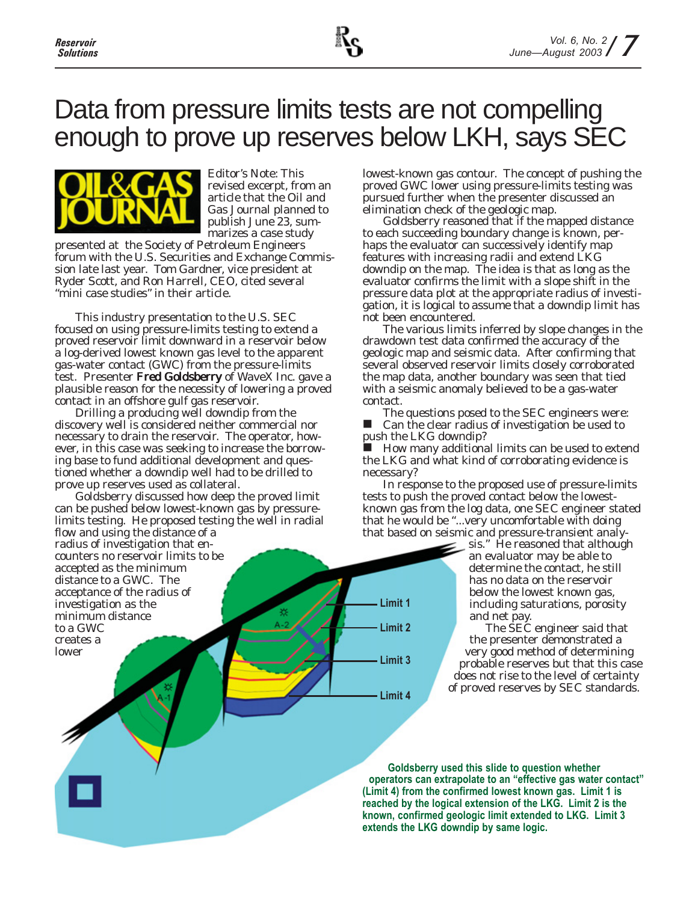

## Data from pressure limits tests are not compelling enough to prove up reserves below LKH, says SEC



*Editor's Note: This revised excerpt, from an article that the Oil and Gas Journal planned to publish June 23, summarizes a case study*

*presented at the Society of Petroleum Engineers forum with the U.S. Securities and Exchange Commission late last year. Tom Gardner, vice president at Ryder Scott, and Ron Harrell, CEO, cited several "mini case studies" in their article.*

This industry presentation to the U.S. SEC focused on using pressure-limits testing to extend a proved reservoir limit downward in a reservoir below a log-derived lowest known gas level to the apparent gas-water contact (GWC) from the pressure-limits test. Presenter Fred Goldsberry of WaveX Inc. gave a plausible reason for the necessity of lowering a proved contact in an offshore gulf gas reservoir.

Drilling a producing well downdip from the discovery well is considered neither commercial nor necessary to drain the reservoir. The operator, however, in this case was seeking to increase the borrowing base to fund additional development and questioned whether a downdip well had to be drilled to prove up reserves used as collateral.

Goldsberry discussed how deep the proved limit can be pushed below lowest-known gas by pressurelimits testing. He proposed testing the well in radial flow and using the distance of a radius of investigation that encounters no reservoir limits to be accepted as the minimum distance to a GWC. The acceptance of the radius of investigation as the minimum distance

to a GWC creates a lower

lowest-known gas contour. The concept of pushing the proved GWC lower using pressure-limits testing was pursued further when the presenter discussed an elimination check of the geologic map.

Goldsberry reasoned that if the mapped distance to each succeeding boundary change is known, perhaps the evaluator can successively identify map features with increasing radii and extend LKG downdip on the map. The idea is that as long as the evaluator confirms the limit with a slope shift in the pressure data plot at the appropriate radius of investigation, it is logical to assume that a downdip limit has not been encountered.

The various limits inferred by slope changes in the drawdown test data confirmed the accuracy of the geologic map and seismic data. After confirming that several observed reservoir limits closely corroborated the map data, another boundary was seen that tied with a seismic anomaly believed to be a gas-water contact.

The questions posed to the SEC engineers were: Can the clear radius of investigation be used to push the LKG downdip?

 How many additional limits can be used to extend the LKG and what kind of corroborating evidence is necessary?

In response to the proposed use of pressure-limits tests to push the proved contact below the lowestknown gas from the log data, one SEC engineer stated that he would be "...very uncomfortable with doing that based on seismic and pressure-transient analy-

**Limit 1**

**Limit 2**

**Limit 3**

**Limit 4**

sis." He reasoned that although an evaluator may be able to determine the contact, he still has no data on the reservoir below the lowest known gas, including saturations, porosity and net pay.

The SEC engineer said that the presenter demonstrated a very good method of determining probable reserves but that this case does not rise to the level of certainty of proved reserves by SEC standards.

**Goldsberry used this slide to question whether operators can extrapolate to an "effective gas water contact" (Limit 4) from the confirmed lowest known gas. Limit 1 is reached by the logical extension of the LKG. Limit 2 is the known, confirmed geologic limit extended to LKG. Limit 3 extends the LKG downdip by same logic.**